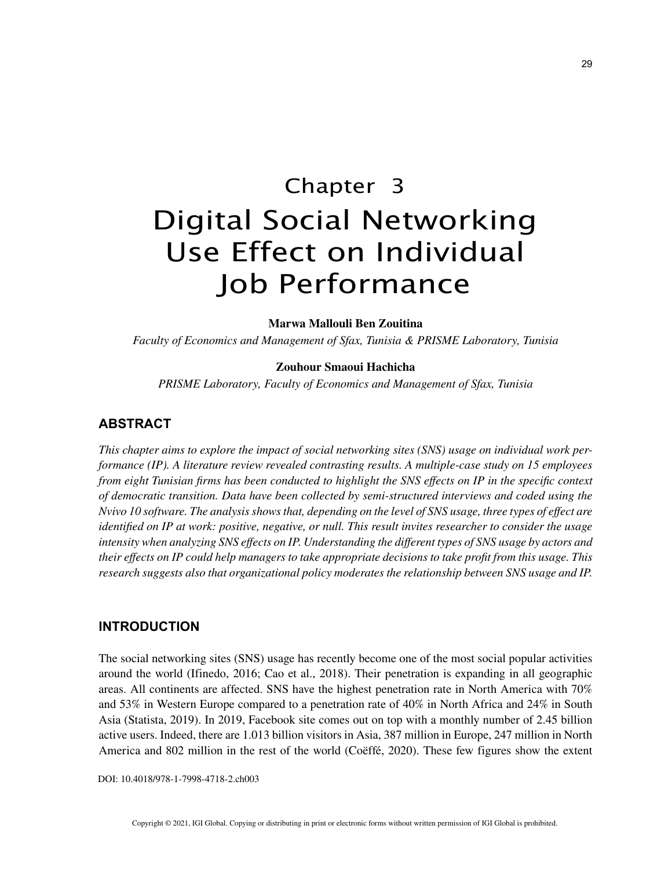# Chapter 3 Digital Social Networking Use Effect on Individual Job Performance

**Marwa Mallouli Ben Zouitina**

*Faculty of Economics and Management of Sfax, Tunisia & PRISME Laboratory, Tunisia*

#### **Zouhour Smaoui Hachicha**

*PRISME Laboratory, Faculty of Economics and Management of Sfax, Tunisia*

# **ABSTRACT**

*This chapter aims to explore the impact of social networking sites (SNS) usage on individual work performance (IP). A literature review revealed contrasting results. A multiple-case study on 15 employees from eight Tunisian firms has been conducted to highlight the SNS effects on IP in the specific context of democratic transition. Data have been collected by semi-structured interviews and coded using the Nvivo 10 software. The analysis shows that, depending on the level of SNS usage, three types of effect are identified on IP at work: positive, negative, or null. This result invites researcher to consider the usage intensity when analyzing SNS effects on IP. Understanding the different types of SNS usage by actors and their effects on IP could help managers to take appropriate decisions to take profit from this usage. This research suggests also that organizational policy moderates the relationship between SNS usage and IP.*

# **INTRODUCTION**

The social networking sites (SNS) usage has recently become one of the most social popular activities around the world (Ifinedo, 2016; Cao et al., 2018). Their penetration is expanding in all geographic areas. All continents are affected. SNS have the highest penetration rate in North America with 70% and 53% in Western Europe compared to a penetration rate of 40% in North Africa and 24% in South Asia (Statista, 2019). In 2019, Facebook site comes out on top with a monthly number of 2.45 billion active users. Indeed, there are 1.013 billion visitors in Asia, 387 million in Europe, 247 million in North America and 802 million in the rest of the world (Coëffé, 2020). These few figures show the extent

DOI: 10.4018/978-1-7998-4718-2.ch003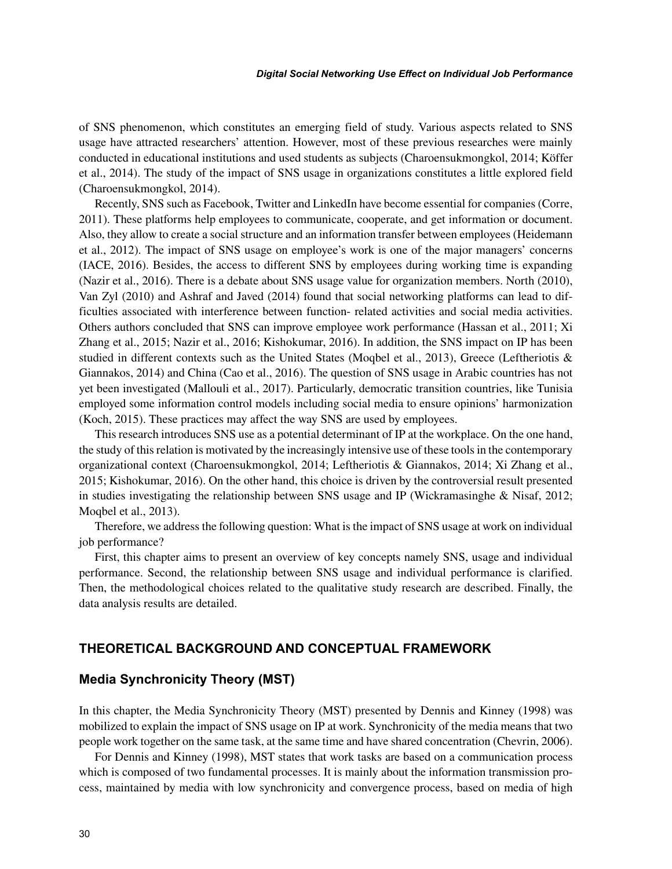of SNS phenomenon, which constitutes an emerging field of study. Various aspects related to SNS usage have attracted researchers' attention. However, most of these previous researches were mainly conducted in educational institutions and used students as subjects (Charoensukmongkol, 2014; Köffer et al., 2014). The study of the impact of SNS usage in organizations constitutes a little explored field (Charoensukmongkol, 2014).

Recently, SNS such as Facebook, Twitter and LinkedIn have become essential for companies (Corre, 2011). These platforms help employees to communicate, cooperate, and get information or document. Also, they allow to create a social structure and an information transfer between employees (Heidemann et al., 2012). The impact of SNS usage on employee's work is one of the major managers' concerns (IACE, 2016). Besides, the access to different SNS by employees during working time is expanding (Nazir et al., 2016). There is a debate about SNS usage value for organization members. North (2010), Van Zyl (2010) and Ashraf and Javed (2014) found that social networking platforms can lead to difficulties associated with interference between function- related activities and social media activities. Others authors concluded that SNS can improve employee work performance (Hassan et al., 2011; Xi Zhang et al., 2015; Nazir et al., 2016; Kishokumar, 2016). In addition, the SNS impact on IP has been studied in different contexts such as the United States (Moqbel et al., 2013), Greece (Leftheriotis & Giannakos, 2014) and China (Cao et al., 2016). The question of SNS usage in Arabic countries has not yet been investigated (Mallouli et al., 2017). Particularly, democratic transition countries, like Tunisia employed some information control models including social media to ensure opinions' harmonization (Koch, 2015). These practices may affect the way SNS are used by employees.

This research introduces SNS use as a potential determinant of IP at the workplace. On the one hand, the study of this relation is motivated by the increasingly intensive use of these tools in the contemporary organizational context (Charoensukmongkol, 2014; Leftheriotis & Giannakos, 2014; Xi Zhang et al., 2015; Kishokumar, 2016). On the other hand, this choice is driven by the controversial result presented in studies investigating the relationship between SNS usage and IP (Wickramasinghe & Nisaf, 2012; Moqbel et al., 2013).

Therefore, we address the following question: What is the impact of SNS usage at work on individual job performance?

First, this chapter aims to present an overview of key concepts namely SNS, usage and individual performance. Second, the relationship between SNS usage and individual performance is clarified. Then, the methodological choices related to the qualitative study research are described. Finally, the data analysis results are detailed.

## **THEORETICAL BACKGROUND AND CONCEPTUAL FRAMEWORK**

## **Media Synchronicity Theory (MST)**

In this chapter, the Media Synchronicity Theory (MST) presented by Dennis and Kinney (1998) was mobilized to explain the impact of SNS usage on IP at work. Synchronicity of the media means that two people work together on the same task, at the same time and have shared concentration (Chevrin, 2006).

For Dennis and Kinney (1998), MST states that work tasks are based on a communication process which is composed of two fundamental processes. It is mainly about the information transmission process, maintained by media with low synchronicity and convergence process, based on media of high